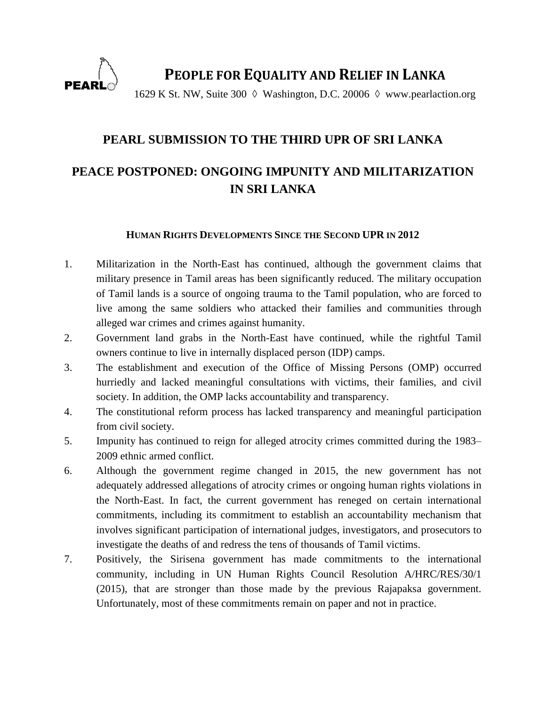

**PEOPLE FOR EQUALITY AND RELIEF IN LANKA**

1629 K St. NW, Suite 300  $\Diamond$  Washington, D.C. 20006  $\Diamond$  www.pearlaction.org

## **PEARL SUBMISSION TO THE THIRD UPR OF SRI LANKA**

# **PEACE POSTPONED: ONGOING IMPUNITY AND MILITARIZATION IN SRI LANKA**

#### **HUMAN RIGHTS DEVELOPMENTS SINCE THE SECOND UPR IN 2012**

- 1. Militarization in the North-East has continued, although the government claims that military presence in Tamil areas has been significantly reduced. The military occupation of Tamil lands is a source of ongoing trauma to the Tamil population, who are forced to live among the same soldiers who attacked their families and communities through alleged war crimes and crimes against humanity.
- 2. Government land grabs in the North-East have continued, while the rightful Tamil owners continue to live in internally displaced person (IDP) camps.
- 3. The establishment and execution of the Office of Missing Persons (OMP) occurred hurriedly and lacked meaningful consultations with victims, their families, and civil society. In addition, the OMP lacks accountability and transparency.
- 4. The constitutional reform process has lacked transparency and meaningful participation from civil society.
- 5. Impunity has continued to reign for alleged atrocity crimes committed during the 1983– 2009 ethnic armed conflict.
- 6. Although the government regime changed in 2015, the new government has not adequately addressed allegations of atrocity crimes or ongoing human rights violations in the North-East. In fact, the current government has reneged on certain international commitments, including its commitment to establish an accountability mechanism that involves significant participation of international judges, investigators, and prosecutors to investigate the deaths of and redress the tens of thousands of Tamil victims.
- 7. Positively, the Sirisena government has made commitments to the international community, including in UN Human Rights Council Resolution A/HRC/RES/30/1 (2015), that are stronger than those made by the previous Rajapaksa government. Unfortunately, most of these commitments remain on paper and not in practice.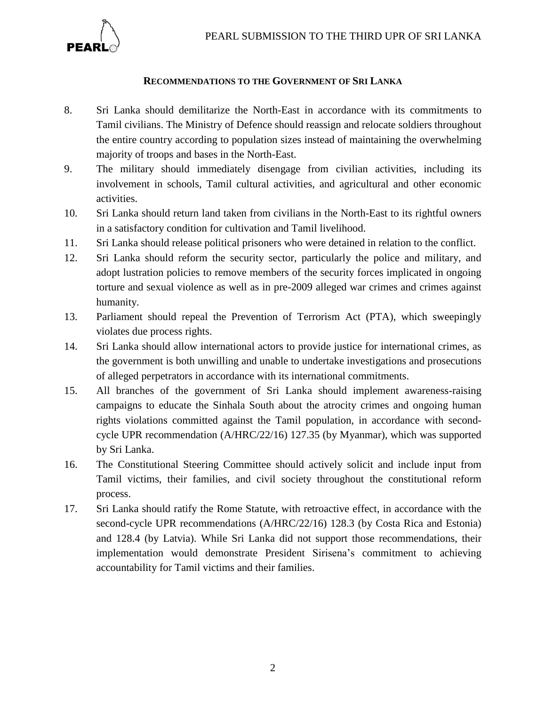

## **RECOMMENDATIONS TO THE GOVERNMENT OF SRI LANKA**

- 8. Sri Lanka should demilitarize the North-East in accordance with its commitments to Tamil civilians. The Ministry of Defence should reassign and relocate soldiers throughout the entire country according to population sizes instead of maintaining the overwhelming majority of troops and bases in the North-East.
- 9. The military should immediately disengage from civilian activities, including its involvement in schools, Tamil cultural activities, and agricultural and other economic activities.
- 10. Sri Lanka should return land taken from civilians in the North-East to its rightful owners in a satisfactory condition for cultivation and Tamil livelihood.
- 11. Sri Lanka should release political prisoners who were detained in relation to the conflict.
- 12. Sri Lanka should reform the security sector, particularly the police and military, and adopt lustration policies to remove members of the security forces implicated in ongoing torture and sexual violence as well as in pre-2009 alleged war crimes and crimes against humanity.
- 13. Parliament should repeal the Prevention of Terrorism Act (PTA), which sweepingly violates due process rights.
- 14. Sri Lanka should allow international actors to provide justice for international crimes, as the government is both unwilling and unable to undertake investigations and prosecutions of alleged perpetrators in accordance with its international commitments.
- 15. All branches of the government of Sri Lanka should implement awareness-raising campaigns to educate the Sinhala South about the atrocity crimes and ongoing human rights violations committed against the Tamil population, in accordance with secondcycle UPR recommendation (A/HRC/22/16) 127.35 (by Myanmar), which was supported by Sri Lanka.
- 16. The Constitutional Steering Committee should actively solicit and include input from Tamil victims, their families, and civil society throughout the constitutional reform process.
- 17. Sri Lanka should ratify the Rome Statute, with retroactive effect, in accordance with the second-cycle UPR recommendations (A/HRC/22/16) 128.3 (by Costa Rica and Estonia) and 128.4 (by Latvia). While Sri Lanka did not support those recommendations, their implementation would demonstrate President Sirisena's commitment to achieving accountability for Tamil victims and their families.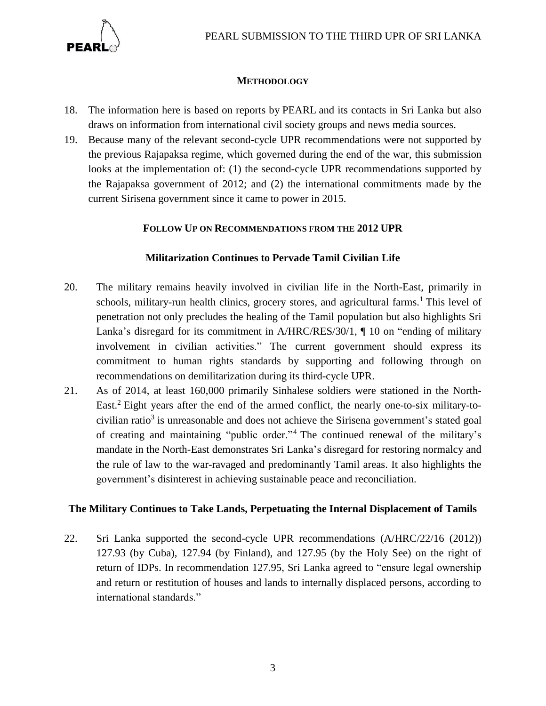

## **METHODOLOGY**

- 18. The information here is based on reports by PEARL and its contacts in Sri Lanka but also draws on information from international civil society groups and news media sources.
- 19. Because many of the relevant second-cycle UPR recommendations were not supported by the previous Rajapaksa regime, which governed during the end of the war, this submission looks at the implementation of: (1) the second-cycle UPR recommendations supported by the Rajapaksa government of 2012; and (2) the international commitments made by the current Sirisena government since it came to power in 2015.

## **FOLLOW UP ON RECOMMENDATIONS FROM THE 2012 UPR**

## **Militarization Continues to Pervade Tamil Civilian Life**

- 20. The military remains heavily involved in civilian life in the North-East, primarily in schools, military-run health clinics, grocery stores, and agricultural farms.<sup>1</sup> This level of penetration not only precludes the healing of the Tamil population but also highlights Sri Lanka's disregard for its commitment in A/HRC/RES/30/1, ¶ 10 on "ending of military involvement in civilian activities." The current government should express its commitment to human rights standards by supporting and following through on recommendations on demilitarization during its third-cycle UPR.
- 21. As of 2014, at least 160,000 primarily Sinhalese soldiers were stationed in the North-East. <sup>2</sup> Eight years after the end of the armed conflict, the nearly one-to-six military-tocivilian ratio<sup>3</sup> is unreasonable and does not achieve the Sirisena government's stated goal of creating and maintaining "public order."<sup>4</sup> The continued renewal of the military's mandate in the North-East demonstrates Sri Lanka's disregard for restoring normalcy and the rule of law to the war-ravaged and predominantly Tamil areas. It also highlights the government's disinterest in achieving sustainable peace and reconciliation.

#### **The Military Continues to Take Lands, Perpetuating the Internal Displacement of Tamils**

22. Sri Lanka supported the second-cycle UPR recommendations (A/HRC/22/16 (2012)) 127.93 (by Cuba), 127.94 (by Finland), and 127.95 (by the Holy See) on the right of return of IDPs. In recommendation 127.95, Sri Lanka agreed to "ensure legal ownership and return or restitution of houses and lands to internally displaced persons, according to international standards."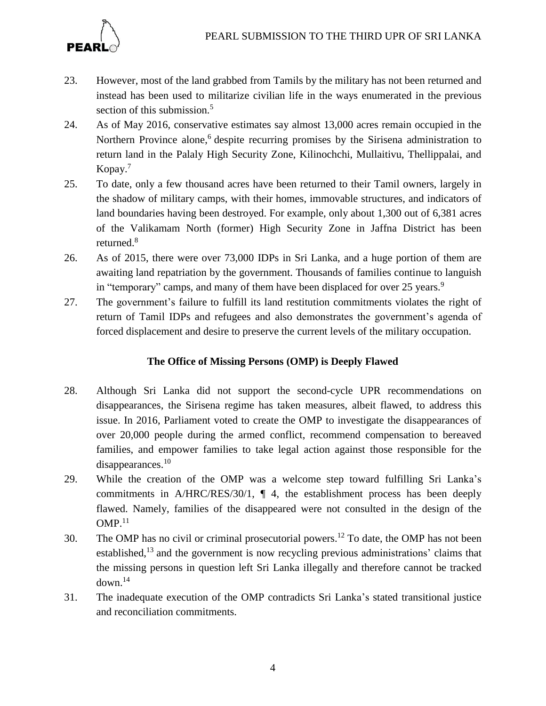

- 23. However, most of the land grabbed from Tamils by the military has not been returned and instead has been used to militarize civilian life in the ways enumerated in the previous section of this submission.<sup>5</sup>
- 24. As of May 2016, conservative estimates say almost 13,000 acres remain occupied in the Northern Province alone,<sup>6</sup> despite recurring promises by the Sirisena administration to return land in the Palaly High Security Zone, Kilinochchi, Mullaitivu, Thellippalai, and Kopay.<sup>7</sup>
- 25. To date, only a few thousand acres have been returned to their Tamil owners, largely in the shadow of military camps, with their homes, immovable structures, and indicators of land boundaries having been destroyed. For example, only about 1,300 out of 6,381 acres of the Valikamam North (former) High Security Zone in Jaffna District has been returned. $8$
- 26. As of 2015, there were over 73,000 IDPs in Sri Lanka, and a huge portion of them are awaiting land repatriation by the government. Thousands of families continue to languish in "temporary" camps, and many of them have been displaced for over 25 years.<sup>9</sup>
- 27. The government's failure to fulfill its land restitution commitments violates the right of return of Tamil IDPs and refugees and also demonstrates the government's agenda of forced displacement and desire to preserve the current levels of the military occupation.

## **The Office of Missing Persons (OMP) is Deeply Flawed**

- 28. Although Sri Lanka did not support the second-cycle UPR recommendations on disappearances, the Sirisena regime has taken measures, albeit flawed, to address this issue. In 2016, Parliament voted to create the OMP to investigate the disappearances of over 20,000 people during the armed conflict, recommend compensation to bereaved families, and empower families to take legal action against those responsible for the disappearances.<sup>10</sup>
- 29. While the creation of the OMP was a welcome step toward fulfilling Sri Lanka's commitments in A/HRC/RES/30/1, ¶ 4, the establishment process has been deeply flawed. Namely, families of the disappeared were not consulted in the design of the  $OMP.<sup>11</sup>$
- 30. The OMP has no civil or criminal prosecutorial powers.<sup>12</sup> To date, the OMP has not been established,<sup>13</sup> and the government is now recycling previous administrations' claims that the missing persons in question left Sri Lanka illegally and therefore cannot be tracked down.<sup>14</sup>
- 31. The inadequate execution of the OMP contradicts Sri Lanka's stated transitional justice and reconciliation commitments.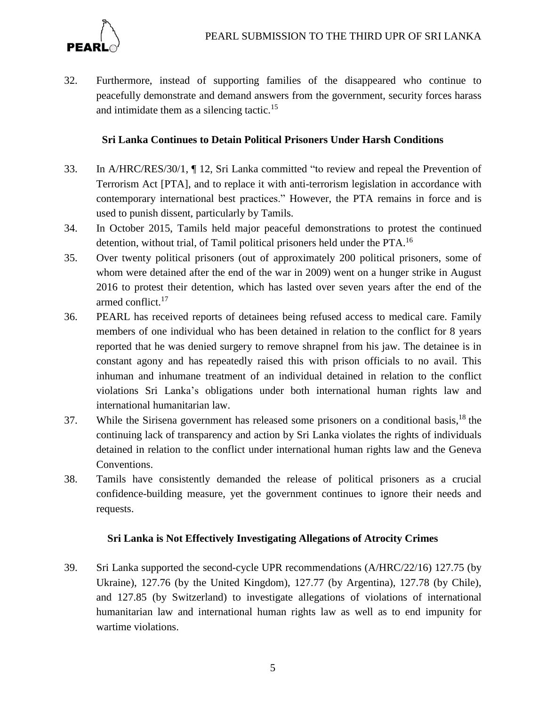

32. Furthermore, instead of supporting families of the disappeared who continue to peacefully demonstrate and demand answers from the government, security forces harass and intimidate them as a silencing tactic.<sup>15</sup>

## **Sri Lanka Continues to Detain Political Prisoners Under Harsh Conditions**

- 33. In A/HRC/RES/30/1, ¶ 12, Sri Lanka committed "to review and repeal the Prevention of Terrorism Act [PTA], and to replace it with anti-terrorism legislation in accordance with contemporary international best practices." However, the PTA remains in force and is used to punish dissent, particularly by Tamils.
- 34. In October 2015, Tamils held major peaceful demonstrations to protest the continued detention, without trial, of Tamil political prisoners held under the PTA. 16
- 35. Over twenty political prisoners (out of approximately 200 political prisoners, some of whom were detained after the end of the war in 2009) went on a hunger strike in August 2016 to protest their detention, which has lasted over seven years after the end of the armed conflict. 17
- 36. PEARL has received reports of detainees being refused access to medical care. Family members of one individual who has been detained in relation to the conflict for 8 years reported that he was denied surgery to remove shrapnel from his jaw. The detainee is in constant agony and has repeatedly raised this with prison officials to no avail. This inhuman and inhumane treatment of an individual detained in relation to the conflict violations Sri Lanka's obligations under both international human rights law and international humanitarian law.
- 37. While the Sirisena government has released some prisoners on a conditional basis,  $^{18}$  the continuing lack of transparency and action by Sri Lanka violates the rights of individuals detained in relation to the conflict under international human rights law and the Geneva Conventions.
- 38. Tamils have consistently demanded the release of political prisoners as a crucial confidence-building measure, yet the government continues to ignore their needs and requests.

## **Sri Lanka is Not Effectively Investigating Allegations of Atrocity Crimes**

39. Sri Lanka supported the second-cycle UPR recommendations (A/HRC/22/16) 127.75 (by Ukraine), 127.76 (by the United Kingdom), 127.77 (by Argentina), 127.78 (by Chile), and 127.85 (by Switzerland) to investigate allegations of violations of international humanitarian law and international human rights law as well as to end impunity for wartime violations.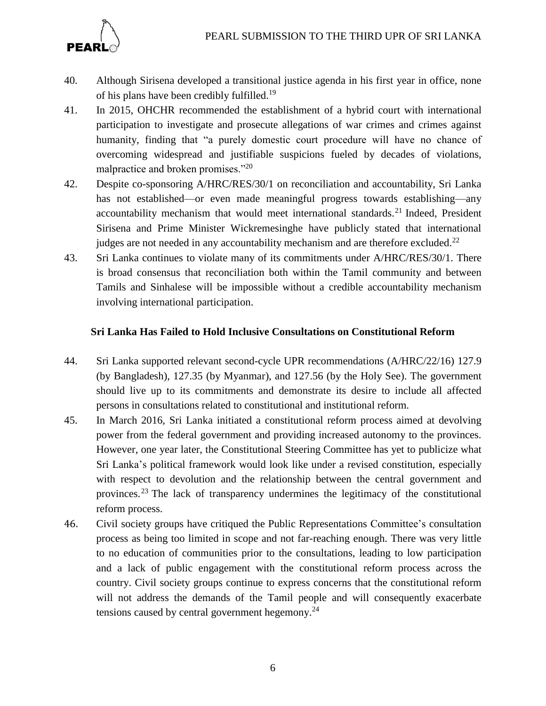

- 40. Although Sirisena developed a transitional justice agenda in his first year in office, none of his plans have been credibly fulfilled.<sup>19</sup>
- 41. In 2015, OHCHR recommended the establishment of a hybrid court with international participation to investigate and prosecute allegations of war crimes and crimes against humanity, finding that "a purely domestic court procedure will have no chance of overcoming widespread and justifiable suspicions fueled by decades of violations, malpractice and broken promises."<sup>20</sup>
- 42. Despite co-sponsoring A/HRC/RES/30/1 on reconciliation and accountability, Sri Lanka has not established—or even made meaningful progress towards establishing—any accountability mechanism that would meet international standards.<sup>21</sup> Indeed, President Sirisena and Prime Minister Wickremesinghe have publicly stated that international judges are not needed in any accountability mechanism and are therefore excluded.<sup>22</sup>
- 43. Sri Lanka continues to violate many of its commitments under A/HRC/RES/30/1. There is broad consensus that reconciliation both within the Tamil community and between Tamils and Sinhalese will be impossible without a credible accountability mechanism involving international participation.

## **Sri Lanka Has Failed to Hold Inclusive Consultations on Constitutional Reform**

- 44. Sri Lanka supported relevant second-cycle UPR recommendations (A/HRC/22/16) 127.9 (by Bangladesh), 127.35 (by Myanmar), and 127.56 (by the Holy See). The government should live up to its commitments and demonstrate its desire to include all affected persons in consultations related to constitutional and institutional reform.
- 45. In March 2016, Sri Lanka initiated a constitutional reform process aimed at devolving power from the federal government and providing increased autonomy to the provinces. However, one year later, the Constitutional Steering Committee has yet to publicize what Sri Lanka's political framework would look like under a revised constitution, especially with respect to devolution and the relationship between the central government and provinces.<sup>23</sup> The lack of transparency undermines the legitimacy of the constitutional reform process.
- 46. Civil society groups have critiqued the Public Representations Committee's consultation process as being too limited in scope and not far-reaching enough. There was very little to no education of communities prior to the consultations, leading to low participation and a lack of public engagement with the constitutional reform process across the country. Civil society groups continue to express concerns that the constitutional reform will not address the demands of the Tamil people and will consequently exacerbate tensions caused by central government hegemony. $24$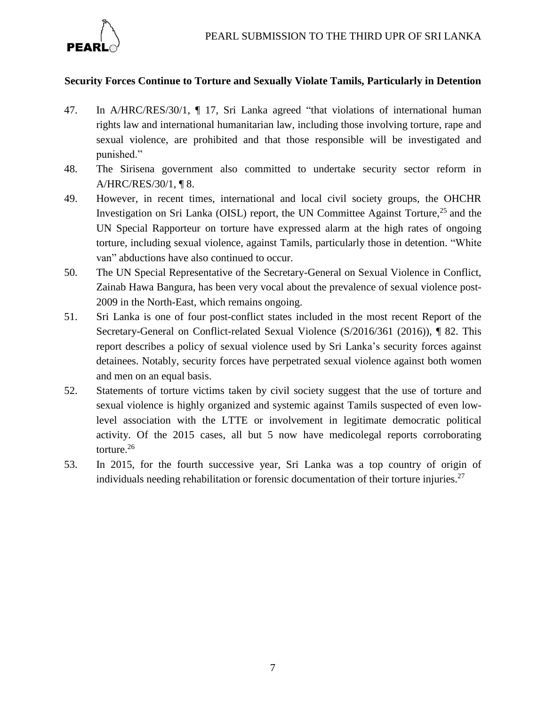

## **Security Forces Continue to Torture and Sexually Violate Tamils, Particularly in Detention**

- 47. In A/HRC/RES/30/1, ¶ 17, Sri Lanka agreed "that violations of international human rights law and international humanitarian law, including those involving torture, rape and sexual violence, are prohibited and that those responsible will be investigated and punished."
- 48. The Sirisena government also committed to undertake security sector reform in A/HRC/RES/30/1, ¶ 8.
- 49. However, in recent times, international and local civil society groups, the OHCHR Investigation on Sri Lanka (OISL) report, the UN Committee Against Torture,<sup>25</sup> and the UN Special Rapporteur on torture have expressed alarm at the high rates of ongoing torture, including sexual violence, against Tamils, particularly those in detention. "White van" abductions have also continued to occur.
- 50. The UN Special Representative of the Secretary-General on Sexual Violence in Conflict, Zainab Hawa Bangura, has been very vocal about the prevalence of sexual violence post-2009 in the North-East, which remains ongoing.
- 51. Sri Lanka is one of four post-conflict states included in the most recent Report of the Secretary-General on Conflict-related Sexual Violence (S/2016/361 (2016)), ¶ 82. This report describes a policy of sexual violence used by Sri Lanka's security forces against detainees. Notably, security forces have perpetrated sexual violence against both women and men on an equal basis.
- 52. Statements of torture victims taken by civil society suggest that the use of torture and sexual violence is highly organized and systemic against Tamils suspected of even lowlevel association with the LTTE or involvement in legitimate democratic political activity. Of the 2015 cases, all but 5 now have medicolegal reports corroborating torture. 26
- 53. In 2015, for the fourth successive year, Sri Lanka was a top country of origin of individuals needing rehabilitation or forensic documentation of their torture injuries.<sup>27</sup>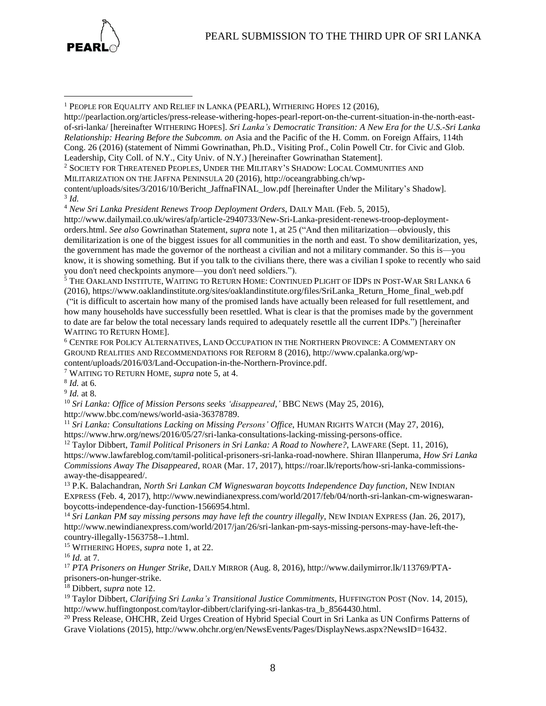



 $\overline{a}$ 

[http://pearlaction.org/articles/press-release-withering-hopes-pearl-report-on-the-current-situation-in-the-north-east](http://pearlaction.org/articles/press-release-withering-hopes-pearl-report-on-the-current-situation-in-the-north-east-of-sri-lanka/)[of-sri-lanka/](http://pearlaction.org/articles/press-release-withering-hopes-pearl-report-on-the-current-situation-in-the-north-east-of-sri-lanka/) [hereinafter WITHERING HOPES]. *Sri Lanka's Democratic Transition: A New Era for the U.S.-Sri Lanka Relationship: Hearing Before the Subcomm. on* Asia and the Pacific of the H. Comm. on Foreign Affairs, 114th Cong. 26 (2016) (statement of Nimmi Gowrinathan, Ph.D., Visiting Prof., Colin Powell Ctr. for Civic and Glob. Leadership, City Coll. of N.Y., City Univ. of N.Y.) [hereinafter Gowrinathan Statement].

<sup>2</sup> SOCIETY FOR THREATENED PEOPLES, UNDER THE MILITARY'S SHADOW: LOCAL COMMUNITIES AND

MILITARIZATION ON THE JAFFNA PENINSULA 20 (2016), [http://oceangrabbing.ch/wp-](http://oceangrabbing.ch/wp-content/uploads/sites/3/2016/10/Bericht_JaffnaFINAL_low.pdf)

[content/uploads/sites/3/2016/10/Bericht\\_JaffnaFINAL\\_low.pdf](http://oceangrabbing.ch/wp-content/uploads/sites/3/2016/10/Bericht_JaffnaFINAL_low.pdf) [hereinafter Under the Military's Shadow]. 3 *Id.*

<sup>4</sup> *New Sri Lanka President Renews Troop Deployment Orders*, DAILY MAIL (Feb. 5, 2015),

[http://www.dailymail.co.uk/wires/afp/article-2940733/New-Sri-Lanka-president-renews-troop-deployment](http://www.dailymail.co.uk/wires/afp/article-2940733/New-Sri-Lanka-president-renews-troop-deployment-orders.html)[orders.html.](http://www.dailymail.co.uk/wires/afp/article-2940733/New-Sri-Lanka-president-renews-troop-deployment-orders.html) *See also* Gowrinathan Statement, *supra* note 1, at 25 ("And then militarization—obviously, this demilitarization is one of the biggest issues for all communities in the north and east. To show demilitarization, yes, the government has made the governor of the northeast a civilian and not a military commander. So this is—you know, it is showing something. But if you talk to the civilians there, there was a civilian I spoke to recently who said you don't need checkpoints anymore—you don't need soldiers.").

<sup>5</sup> THE OAKLAND INSTITUTE, WAITING TO RETURN HOME: CONTINUED PLIGHT OF IDPS IN POST-WAR SRI LANKA 6 (2016), [https://www.oaklandinstitute.org/sites/oaklandinstitute.org/files/SriLanka\\_Return\\_Home\\_final\\_web.pdf](https://www.oaklandinstitute.org/sites/oaklandinstitute.org/files/SriLanka_Return_Home_final_web.pdf) ("it is difficult to ascertain how many of the promised lands have actually been released for full resettlement, and how many households have successfully been resettled. What is clear is that the promises made by the government to date are far below the total necessary lands required to adequately resettle all the current IDPs.") [hereinafter WAITING TO RETURN HOME].

<sup>6</sup> CENTRE FOR POLICY ALTERNATIVES, LAND OCCUPATION IN THE NORTHERN PROVINCE: A COMMENTARY ON GROUND REALITIES AND RECOMMENDATIONS FOR REFORM 8 (2016), [http://www.cpalanka.org/wp](http://www.cpalanka.org/wp-content/uploads/2016/03/Land-Occupation-in-the-Northern-Province.pdf)[content/uploads/2016/03/Land-Occupation-in-the-Northern-Province.pdf.](http://www.cpalanka.org/wp-content/uploads/2016/03/Land-Occupation-in-the-Northern-Province.pdf)

<sup>7</sup> WAITING TO RETURN HOME, *supra* note 5, at 4.

8 *Id.* at 6.

9 *Id.* at 8.

<sup>10</sup> *Sri Lanka: Office of Mission Persons seeks 'disappeared*,*'* BBC NEWS (May 25, 2016), [http://www.bbc.com/news/world-asia-36378789.](http://www.bbc.com/news/world-asia-36378789)

<sup>11</sup> *Sri Lanka: Consultations Lacking on Missing Persons' Office*, HUMAN RIGHTS WATCH (May 27, 2016), [https://www.hrw.org/news/2016/05/27/sri-lanka-consultations-lacking-missing-persons-office.](https://www.hrw.org/news/2016/05/27/sri-lanka-consultations-lacking-missing-persons-office)

<sup>12</sup> Taylor Dibbert, *Tamil Political Prisoners in Sri Lanka: A Road to Nowhere?*, LAWFARE (Sept. 11, 2016), [https://www.lawfareblog.com/tamil-political-prisoners-sri-lanka-road-nowhere.](https://www.lawfareblog.com/tamil-political-prisoners-sri-lanka-road-nowhere) Shiran Illanperuma, *How Sri Lanka Commissions Away The Disappeared*, ROAR (Mar. 17, 2017), [https://roar.lk/reports/how-sri-lanka-commissions](https://roar.lk/reports/how-sri-lanka-commissions-away-the-disappeared/)[away-the-disappeared/.](https://roar.lk/reports/how-sri-lanka-commissions-away-the-disappeared/)

<sup>13</sup> P.K. Balachandran, *North Sri Lankan CM Wigneswaran boycotts Independence Day function*, NEW INDIAN EXPRESS (Feb. 4, 2017), [http://www.newindianexpress.com/world/2017/feb/04/north-sri-lankan-cm-wigneswaran](http://www.newindianexpress.com/world/2017/feb/04/north-sri-lankan-cm-wigneswaran-boycotts-independence-day-function-1566954.html)[boycotts-independence-day-function-1566954.html.](http://www.newindianexpress.com/world/2017/feb/04/north-sri-lankan-cm-wigneswaran-boycotts-independence-day-function-1566954.html)

<sup>14</sup> *Sri Lankan PM say missing persons may have left the country illegally*, NEW INDIAN EXPRESS (Jan. 26, 2017), [http://www.newindianexpress.com/world/2017/jan/26/sri-lankan-pm-says-missing-persons-may-have-left-the](http://www.newindianexpress.com/world/2017/jan/26/sri-lankan-pm-says-missing-persons-may-have-left-the-country-illegally-1563758--1.html)[country-illegally-1563758--1.html.](http://www.newindianexpress.com/world/2017/jan/26/sri-lankan-pm-says-missing-persons-may-have-left-the-country-illegally-1563758--1.html)

<sup>15</sup> WITHERING HOPES, *supra* note 1, at 22.

<sup>16</sup> *Id.* at 7.

<sup>17</sup> *PTA Prisoners on Hunger Strike*, DAILY MIRROR (Aug. 8, 2016), http://www.dailymirror.lk/113769/PTAprisoners-on-hunger-strike.

<sup>18</sup> Dibbert, *supra* note 12.

<sup>19</sup> Taylor Dibbert, *Clarifying Sri Lanka's Transitional Justice Commitments,* HUFFINGTON POST (Nov. 14, 2015), [http://www.huffingtonpost.com/taylor-dibbert/clarifying-sri-lankas-tra\\_b\\_8564430.html.](http://www.huffingtonpost.com/taylor-dibbert/clarifying-sri-lankas-tra_b_8564430.html)

<sup>20</sup> Press Release, OHCHR, Zeid Urges Creation of Hybrid Special Court in Sri Lanka as UN Confirms Patterns of Grave Violations (2015), [http://www.ohchr.org/en/NewsEvents/Pages/DisplayNews.aspx?NewsID=16432.](http://www.ohchr.org/en/NewsEvents/Pages/DisplayNews.aspx?NewsID=16432)

<sup>1</sup> PEOPLE FOR EQUALITY AND RELIEF IN LANKA (PEARL), WITHERING HOPES 12 (2016),